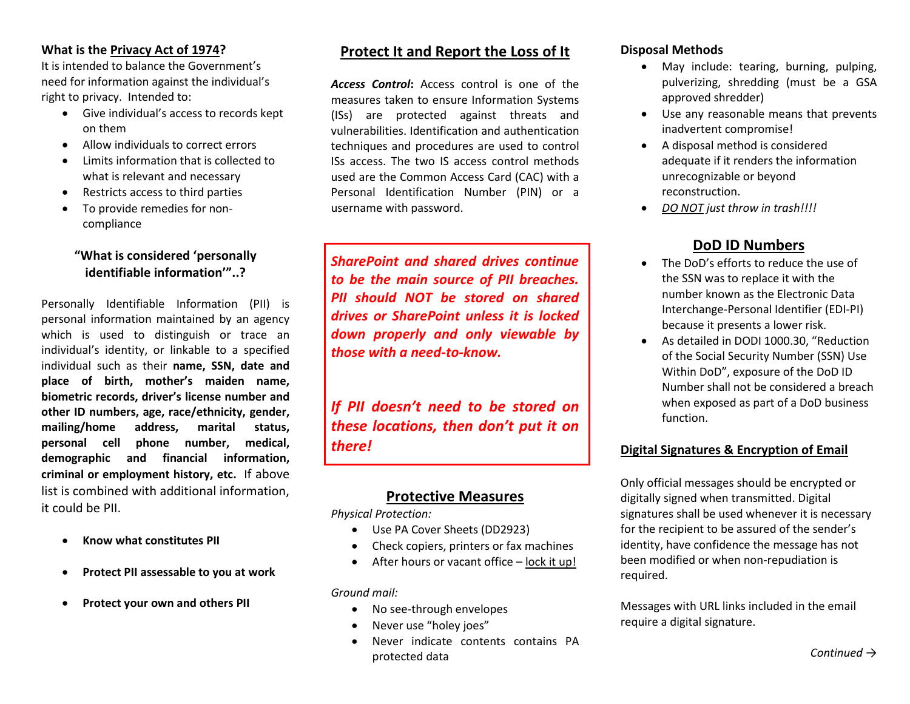#### **What is the Privacy Act of 1974?**

It is intended to balance the Government's need for information against the individual's right to privacy. Intended to:

- Give individual's access to records kept on them
- Allow individuals to correct errors
- Limits information that is collected to what is relevant and necessary
- Restricts access to third parties
- To provide remedies for noncompliance

#### **"What is considered 'personally identifiable information'"..?**

Personally Identifiable Information (PII) is personal information maintained by an agency which is used to distinguish or trace an individual's identity, or linkable to a specified individual such as their **name, SSN, date and place of birth, mother's maiden name, biometric records, driver's license number and other ID numbers, age, race/ethnicity, gender, mailing/home address, marital status, personal cell phone number, medical, demographic and financial information, criminal or employment history, etc.** If above list is combined with additional information, it could be PII.

- **Know what constitutes PII**
- **Protect PII assessable to you at work**
- **Protect your own and others PII**

## **Protect It and Report the Loss of It**

*Access Control***:** Access control is one of the measures taken to ensure Information Systems (ISs) are protected against threats and vulnerabilities. Identification and authentication techniques and procedures are used to control ISs access. The two IS access control methods used are the Common Access Card (CAC) with a Personal Identification Number (PIN) or a username with password.

*SharePoint and shared drives continue to be the main source of PII breaches. PII should NOT be stored on shared drives or SharePoint unless it is locked down properly and only viewable by those with a need-to-know.*

*If PII doesn't need to be stored on these locations, then don't put it on there!*

## **Protective Measures**

*Physical Protection:* 

- Use PA Cover Sheets (DD2923)
- Check copiers, printers or fax machines
- After hours or vacant office lock it up!

*Ground mail:*

- No see-through envelopes
- Never use "holey joes"
- Never indicate contents contains PA protected data

#### **Disposal Methods**

- May include: tearing, burning, pulping, pulverizing, shredding (must be a GSA approved shredder)
- Use any reasonable means that prevents inadvertent compromise!
- A disposal method is considered adequate if it renders the information unrecognizable or beyond reconstruction.
- *DO NOT just throw in trash!!!!*

# **DoD ID Numbers**

- The DoD's efforts to reduce the use of the SSN was to replace it with the number known as the Electronic Data Interchange-Personal Identifier (EDI-PI) because it presents a lower risk.
- As detailed in DODI 1000.30, "Reduction of the Social Security Number (SSN) Use Within DoD", exposure of the DoD ID Number shall not be considered a breach when exposed as part of a DoD business function.

#### **Digital Signatures & Encryption of Email**

Only official messages should be encrypted or digitally signed when transmitted. Digital signatures shall be used whenever it is necessary for the recipient to be assured of the sender's identity, have confidence the message has not been modified or when non-repudiation is required.

Messages with URL links included in the email require a digital signature.